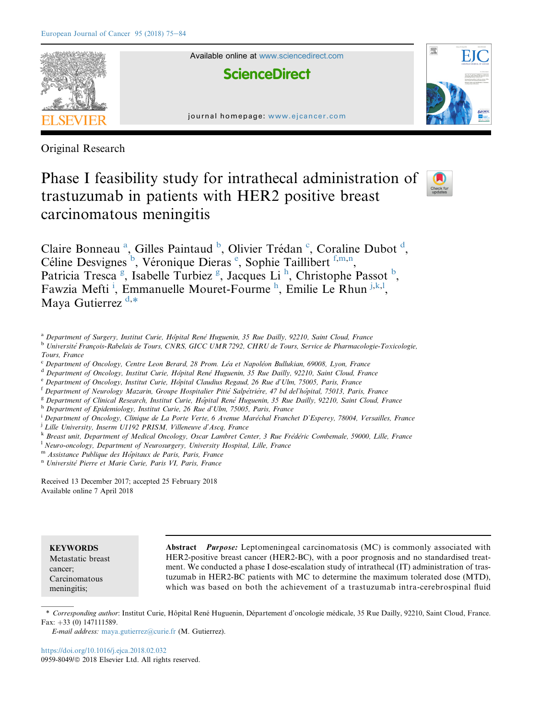

Original Research

# Phase I feasibility study for intrathecal administration of trastuzumab in patients with HER2 positive breast carcinomatous meningitis



Claire Bonneau<sup>a</sup>, Gilles Paintaud<sup>b</sup>, Olivier Trédan<sup>c</sup>, Coraline Dubot<sup>d</sup>, Céline Desvignes<sup>b</sup>, Véronique Dieras<sup>e</sup>, Sophie Taillibert<sup>f,m,n</sup>, Patricia Tresca<sup>g</sup>, Isabelle Turbiez<sup>g</sup>, Jacques Li<sup>h</sup>, Christophe Passot<sup>b</sup>, Fawzia Mefti<sup>i</sup>, Emmanuelle Mouret-Fourme<sup>h</sup>, Emilie Le Rhun<sup>j,k,l</sup>, Maya Gutierrez<sup>d,\*</sup>

- <sup>a</sup> Department of Surgery, Institut Curie, Hôpital René Huguenin, 35 Rue Dailly, 92210, Saint Cloud, France
- <sup>b</sup> Université François-Rabelais de Tours, CNRS, GICC UMR 7292, CHRU de Tours, Service de Pharmacologie-Toxicologie, Tours, France
- Department of Oncology, Centre Leon Berard, 28 Prom. Léa et Napoléon Bullukian, 69008, Lyon, France
- <sup>d</sup> Department of Oncology, Institut Curie, Hôpital Rene<sup>*K*</sup> Huguenin, 35 Rue Dailly, 92210, Saint Cloud, France
- e Department of Oncology, Institut Curie, Hôpital Claudius Regaud, 26 Rue d'Ulm, 75005, Paris, France
- <sup>f</sup> Department of Neurology Mazarin, Groupe Hospitalier Pitié Salpétrière, 47 bd del'hôpital, 75013, Paris, France
- <sup>g</sup> Department of Clinical Research, Institut Curie, Hôpital René Huguenin, 35 Rue Dailly, 92210, Saint Cloud, France
- h Department of Epidemiology, Institut Curie, 26 Rue d'Ulm, 75005, Paris, France

<sup>i</sup> Department of Oncology, Clinique de La Porte Verte, 6 Avenue Maréchal Franchet D'Esperey, 78004, Versailles, France

- <sup>i</sup> Lille University, Inserm U1192 PRISM, Villeneuve d'Ascq, France
- $k$  Breast unit, Department of Medical Oncology, Oscar Lambret Center, 3 Rue Frédéric Combemale, 59000, Lille, France
- <sup>1</sup> Neuro-oncology, Department of Neurosurgery, University Hospital, Lille, France
- m Assistance Publique des Hôpitaux de Paris, Paris, France

<sup>n</sup> Université Pierre et Marie Curie, Paris VI, Paris, France

Received 13 December 2017; accepted 25 February 2018 Available online 7 April 2018

**KEYWORDS** 

Metastatic breast cancer; Carcinomatous meningitis;

Abstract Purpose: Leptomeningeal carcinomatosis (MC) is commonly associated with HER2-positive breast cancer (HER2-BC), with a poor prognosis and no standardised treatment. We conducted a phase I dose-escalation study of intrathecal (IT) administration of trastuzumab in HER2-BC patients with MC to determine the maximum tolerated dose (MTD), which was based on both the achievement of a trastuzumab intra-cerebrospinal fluid

\* Corresponding author: Institut Curie, Hôpital René Huguenin, Département d'oncologie médicale, 35 Rue Dailly, 92210, Saint Cloud, France. Fax:  $+33$  (0) 147111589.

E-mail address: [maya.gutierrez@curie.fr](mailto:maya.gutierrez@curie.fr) (M. Gutierrez).

<https://doi.org/10.1016/j.ejca.2018.02.032> 0959-8049/© 2018 Elsevier Ltd. All rights reserved.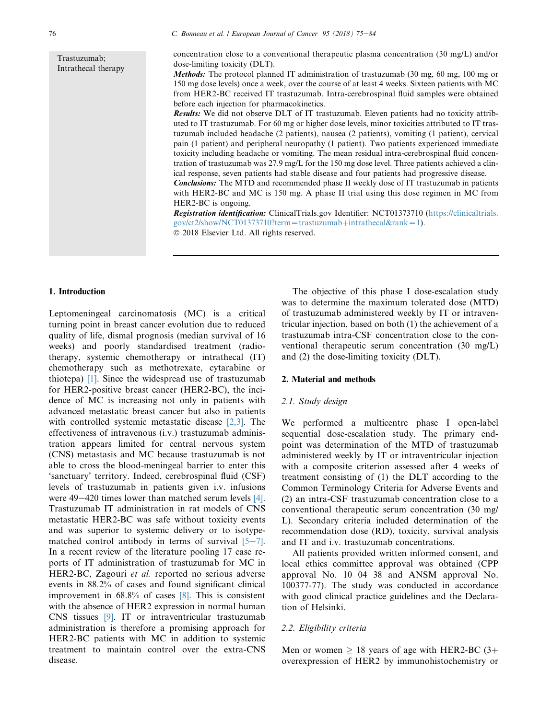Trastuzumab; Intrathecal therapy

dose-limiting toxicity (DLT). Methods: The protocol planned IT administration of trastuzumab (30 mg, 60 mg, 100 mg or 150 mg dose levels) once a week, over the course of at least 4 weeks. Sixteen patients with MC from HER2-BC received IT trastuzumab. Intra-cerebrospinal fluid samples were obtained before each injection for pharmacokinetics.

concentration close to a conventional therapeutic plasma concentration (30 mg/L) and/or

Results: We did not observe DLT of IT trastuzumab. Eleven patients had no toxicity attributed to IT trastuzumab. For 60 mg or higher dose levels, minor toxicities attributed to IT trastuzumab included headache (2 patients), nausea (2 patients), vomiting (1 patient), cervical pain (1 patient) and peripheral neuropathy (1 patient). Two patients experienced immediate toxicity including headache or vomiting. The mean residual intra-cerebrospinal fluid concentration of trastuzumab was 27.9 mg/L for the 150 mg dose level. Three patients achieved a clinical response, seven patients had stable disease and four patients had progressive disease.

Conclusions: The MTD and recommended phase II weekly dose of IT trastuzumab in patients with HER2-BC and MC is 150 mg. A phase II trial using this dose regimen in MC from HER2-BC is ongoing.

Registration identification: ClinicalTrials.gov Identifier: NCT01373710 ([https://clinicaltrials.](https://clinicaltrials.gov/ct2/show/NCT01373710?term=trastuzumab+intrathecal&rank=1)  $gov/ct2/show/NCT01373710?$ term=trastuzumab+[intrathecal&rank](https://clinicaltrials.gov/ct2/show/NCT01373710?term=trastuzumab+intrathecal&rank=1)=1).  $© 2018 Elsevier Ltd. All rights reserved.$ 

#### 1. Introduction

Leptomeningeal carcinomatosis (MC) is a critical turning point in breast cancer evolution due to reduced quality of life, dismal prognosis (median survival of 16 weeks) and poorly standardised treatment (radiotherapy, systemic chemotherapy or intrathecal (IT) chemotherapy such as methotrexate, cytarabine or thiotepa) [\[1\].](#page-8-0) Since the widespread use of trastuzumab for HER2-positive breast cancer (HER2-BC), the incidence of MC is increasing not only in patients with advanced metastatic breast cancer but also in patients with controlled systemic metastatic disease [\[2,3\]](#page-8-0). The effectiveness of intravenous (i.v.) trastuzumab administration appears limited for central nervous system (CNS) metastasis and MC because trastuzumab is not able to cross the blood-meningeal barrier to enter this 'sanctuary' territory. Indeed, cerebrospinal fluid (CSF) levels of trastuzumab in patients given i.v. infusions were  $49-420$  times lower than matched serum levels [\[4\]](#page-8-0). Trastuzumab IT administration in rat models of CNS metastatic HER2-BC was safe without toxicity events and was superior to systemic delivery or to isotypematched control antibody in terms of survival  $[5-7]$  $[5-7]$  $[5-7]$ . In a recent review of the literature pooling 17 case reports of IT administration of trastuzumab for MC in HER2-BC, Zagouri et al. reported no serious adverse events in 88.2% of cases and found significant clinical improvement in 68.8% of cases [\[8\].](#page-8-0) This is consistent with the absence of HER2 expression in normal human CNS tissues [\[9\]](#page-8-0). IT or intraventricular trastuzumab administration is therefore a promising approach for HER2-BC patients with MC in addition to systemic treatment to maintain control over the extra-CNS disease.

The objective of this phase I dose-escalation study was to determine the maximum tolerated dose (MTD) of trastuzumab administered weekly by IT or intraventricular injection, based on both (1) the achievement of a trastuzumab intra-CSF concentration close to the conventional therapeutic serum concentration (30 mg/L) and (2) the dose-limiting toxicity (DLT).

# 2. Material and methods

#### 2.1. Study design

We performed a multicentre phase I open-label sequential dose-escalation study. The primary endpoint was determination of the MTD of trastuzumab administered weekly by IT or intraventricular injection with a composite criterion assessed after 4 weeks of treatment consisting of (1) the DLT according to the Common Terminology Criteria for Adverse Events and (2) an intra-CSF trastuzumab concentration close to a conventional therapeutic serum concentration (30 mg/ L). Secondary criteria included determination of the recommendation dose (RD), toxicity, survival analysis and IT and i.v. trastuzumab concentrations.

All patients provided written informed consent, and local ethics committee approval was obtained (CPP approval No. 10 04 38 and ANSM approval No. 100377-77). The study was conducted in accordance with good clinical practice guidelines and the Declaration of Helsinki.

# 2.2. Eligibility criteria

Men or women  $\geq$  18 years of age with HER2-BC (3+ overexpression of HER2 by immunohistochemistry or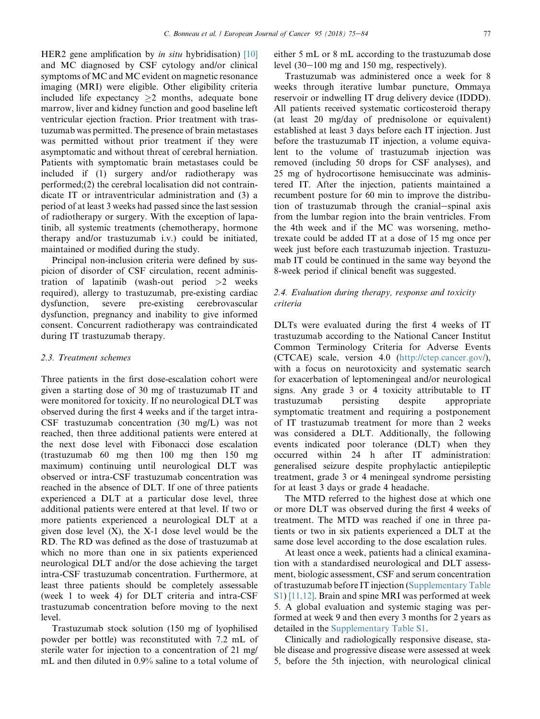HER2 gene amplification by *in situ* hybridisation)  $[10]$ and MC diagnosed by CSF cytology and/or clinical symptoms of MC and MC evident on magnetic resonance imaging (MRI) were eligible. Other eligibility criteria included life expectancy  $\geq$  months, adequate bone marrow, liver and kidney function and good baseline left ventricular ejection fraction. Prior treatment with trastuzumab was permitted. The presence of brain metastases was permitted without prior treatment if they were asymptomatic and without threat of cerebral herniation. Patients with symptomatic brain metastases could be included if (1) surgery and/or radiotherapy was performed;(2) the cerebral localisation did not contraindicate IT or intraventricular administration and (3) a period of at least 3 weeks had passed since the last session of radiotherapy or surgery. With the exception of lapatinib, all systemic treatments (chemotherapy, hormone therapy and/or trastuzumab i.v.) could be initiated, maintained or modified during the study.

Principal non-inclusion criteria were defined by suspicion of disorder of CSF circulation, recent administration of lapatinib (wash-out period  $>2$  weeks required), allergy to trastuzumab, pre-existing cardiac dysfunction, severe pre-existing cerebrovascular dysfunction, pregnancy and inability to give informed consent. Concurrent radiotherapy was contraindicated during IT trastuzumab therapy.

# 2.3. Treatment schemes

Three patients in the first dose-escalation cohort were given a starting dose of 30 mg of trastuzumab IT and were monitored for toxicity. If no neurological DLT was observed during the first 4 weeks and if the target intra-CSF trastuzumab concentration (30 mg/L) was not reached, then three additional patients were entered at the next dose level with Fibonacci dose escalation (trastuzumab 60 mg then 100 mg then 150 mg maximum) continuing until neurological DLT was observed or intra-CSF trastuzumab concentration was reached in the absence of DLT. If one of three patients experienced a DLT at a particular dose level, three additional patients were entered at that level. If two or more patients experienced a neurological DLT at a given dose level  $(X)$ , the  $X-1$  dose level would be the RD. The RD was defined as the dose of trastuzumab at which no more than one in six patients experienced neurological DLT and/or the dose achieving the target intra-CSF trastuzumab concentration. Furthermore, at least three patients should be completely assessable (week 1 to week 4) for DLT criteria and intra-CSF trastuzumab concentration before moving to the next level.

Trastuzumab stock solution (150 mg of lyophilised powder per bottle) was reconstituted with 7.2 mL of sterile water for injection to a concentration of 21 mg/ mL and then diluted in 0.9% saline to a total volume of either 5 mL or 8 mL according to the trastuzumab dose level  $(30-100 \text{ mg and } 150 \text{ mg, respectively}).$ 

Trastuzumab was administered once a week for 8 weeks through iterative lumbar puncture, Ommaya reservoir or indwelling IT drug delivery device (IDDD). All patients received systematic corticosteroid therapy (at least 20 mg/day of prednisolone or equivalent) established at least 3 days before each IT injection. Just before the trastuzumab IT injection, a volume equivalent to the volume of trastuzumab injection was removed (including 50 drops for CSF analyses), and 25 mg of hydrocortisone hemisuccinate was administered IT. After the injection, patients maintained a recumbent posture for 60 min to improve the distribution of trastuzumab through the cranial-spinal axis from the lumbar region into the brain ventricles. From the 4th week and if the MC was worsening, methotrexate could be added IT at a dose of 15 mg once per week just before each trastuzumab injection. Trastuzumab IT could be continued in the same way beyond the 8-week period if clinical benefit was suggested.

# 2.4. Evaluation during therapy, response and toxicity criteria

DLTs were evaluated during the first 4 weeks of IT trastuzumab according to the National Cancer Institut Common Terminology Criteria for Adverse Events (CTCAE) scale, version 4.0 (<http://ctep.cancer.gov/>), with a focus on neurotoxicity and systematic search for exacerbation of leptomeningeal and/or neurological signs. Any grade 3 or 4 toxicity attributable to IT trastuzumab persisting despite appropriate symptomatic treatment and requiring a postponement of IT trastuzumab treatment for more than 2 weeks was considered a DLT. Additionally, the following events indicated poor tolerance (DLT) when they occurred within 24 h after IT administration: generalised seizure despite prophylactic antiepileptic treatment, grade 3 or 4 meningeal syndrome persisting for at least 3 days or grade 4 headache.

The MTD referred to the highest dose at which one or more DLT was observed during the first 4 weeks of treatment. The MTD was reached if one in three patients or two in six patients experienced a DLT at the same dose level according to the dose escalation rules.

At least once a week, patients had a clinical examination with a standardised neurological and DLT assessment, biologic assessment, CSF and serum concentration of trastuzumab before IT injection (Supplementary Table S1) [\[11,12\].](#page-8-0) Brain and spine MRI was performed at week 5. A global evaluation and systemic staging was performed at week 9 and then every 3 months for 2 years as detailed in the Supplementary Table S1.

Clinically and radiologically responsive disease, stable disease and progressive disease were assessed at week 5, before the 5th injection, with neurological clinical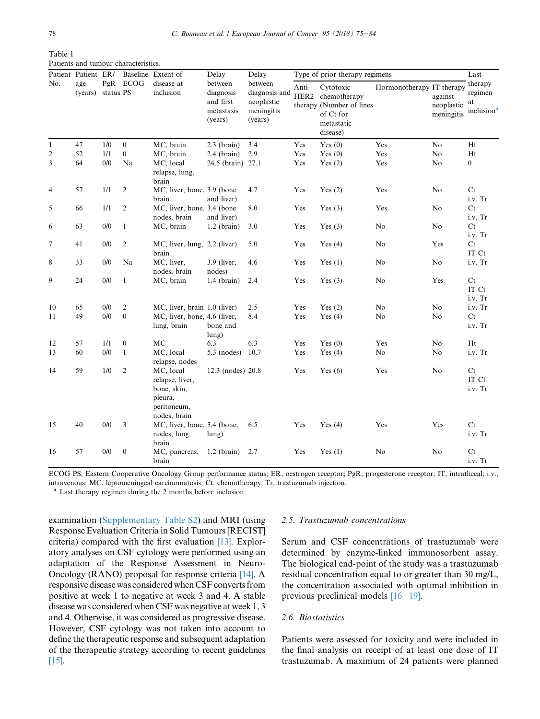<span id="page-3-0"></span>

| Table 1 |                                      |
|---------|--------------------------------------|
|         | Patients and tumour characteristics. |

|                | Patient Patient ER/<br>age<br>(years) | PgR<br>status PS | <b>ECOG</b>      | Baseline Extent of<br>disease at<br>inclusion                                         | Delay<br>between<br>diagnosis<br>and first<br>metastasis<br>(years) | Delay<br>between<br>diagnosis and<br>neoplastic<br>meningitis<br>(years) | Type of prior therapy regimens | Last                                                                                              |                           |                                     |                                                    |
|----------------|---------------------------------------|------------------|------------------|---------------------------------------------------------------------------------------|---------------------------------------------------------------------|--------------------------------------------------------------------------|--------------------------------|---------------------------------------------------------------------------------------------------|---------------------------|-------------------------------------|----------------------------------------------------|
| No.            |                                       |                  |                  |                                                                                       |                                                                     |                                                                          | Anti-                          | Cytotoxic<br>HER2 chemotherapy<br>therapy (Number of lines<br>of Ct for<br>metastatic<br>disease) | Hormonotherapy IT therapy | against<br>neoplastic<br>meningitis | therapy<br>regimen<br>at<br>inclusion <sup>a</sup> |
| $\mathbf{1}$   | 47                                    | 1/0              | $\boldsymbol{0}$ | MC, brain                                                                             | $2.3$ (brain)                                                       | 3.4                                                                      | Yes                            | Yes $(0)$                                                                                         | Yes                       | No                                  | Ht                                                 |
| 2              | 52                                    | 1/1              | $\overline{0}$   | MC, brain                                                                             | $2.4$ (brain)                                                       | 2.9                                                                      | Yes                            | Yes $(0)$                                                                                         | Yes                       | No                                  | Ht                                                 |
| 3              | 64                                    | 0/0              | Na               | MC, local<br>relapse, lung,<br>brain                                                  | 24.5 (brain) 27.1                                                   |                                                                          | Yes                            | Yes $(2)$                                                                                         | Yes                       | No                                  | $\boldsymbol{0}$                                   |
| $\overline{4}$ | 57                                    | 1/1              | 2                | MC, liver, bone, 3.9 (bone<br>brain                                                   | and liver)                                                          | 4.7                                                                      | Yes                            | Yes $(2)$                                                                                         | Yes                       | No                                  | Ct<br>i.v. Tr                                      |
| 5              | 66                                    | 1/1              | 2                | MC, liver, bone, 3.4 (bone<br>nodes, brain                                            | and liver)                                                          | 8.0                                                                      | Yes                            | Yes $(3)$                                                                                         | Yes                       | No                                  | Ct<br>i.v. Tr                                      |
| 6              | 63                                    | 0/0              | $\mathbf{1}$     | MC, brain                                                                             | $1.2$ (brain)                                                       | 3.0                                                                      | Yes                            | Yes $(3)$                                                                                         | No                        | No                                  | Ct<br>i.v. Tr                                      |
| $\tau$         | 41                                    | 0/0              | $\overline{c}$   | MC, liver, lung, 2.2 (liver)<br>brain                                                 |                                                                     | 5.0                                                                      | Yes                            | Yes $(4)$                                                                                         | No                        | Yes                                 | Ct<br>IT Ct                                        |
| 8              | 33                                    | 0/0              | Na               | MC, liver,<br>nodes, brain                                                            | 3.9 (liver,<br>nodes)                                               | 4.6                                                                      | Yes                            | Yes $(1)$                                                                                         | No                        | No                                  | i.v. Tr                                            |
| 9              | 24                                    | 0/0              | $\mathbf{1}$     | MC, brain                                                                             | $1.4$ (brain)                                                       | 2.4                                                                      | Yes                            | Yes $(3)$                                                                                         | No                        | Yes                                 | Ct<br>IT Ct<br>i.v. Tr                             |
| 10             | 65                                    | 0/0              | $\mathfrak{2}$   | MC, liver, brain 1.0 (liver)                                                          |                                                                     | 2.5                                                                      | Yes                            | Yes $(2)$                                                                                         | No                        | No                                  | i.v. Tr                                            |
| 11             | 49                                    | 0/0              | $\mathbf{0}$     | MC, liver, bone, 4.6 (liver,<br>lung, brain                                           | bone and<br>lung)                                                   | 8.4                                                                      | Yes                            | Yes $(4)$                                                                                         | No                        | No                                  | Ct<br>i.v. Tr                                      |
| 12             | 57                                    | 1/1              | $\boldsymbol{0}$ | <b>MC</b>                                                                             | 6.3                                                                 | 6.3                                                                      | Yes                            | Yes $(0)$                                                                                         | Yes                       | N <sub>o</sub>                      | Ht                                                 |
| 13             | 60                                    | 0/0              | $\mathbf{1}$     | MC, local<br>relapse, nodes                                                           | $5.3 \text{ (nodes)}$                                               | 10.7                                                                     | Yes                            | Yes $(4)$                                                                                         | No                        | No                                  | i.v. Tr                                            |
| 14             | 59                                    | 1/0              | $\mathfrak{2}$   | MC, local<br>relapse, liver,<br>bone, skin,<br>pleura,<br>peritoneum,<br>nodes, brain | 12.3 (nodes) 20.8                                                   |                                                                          | Yes                            | Yes $(6)$                                                                                         | Yes                       | No                                  | Ct<br>IT Ct<br>i.v. Tr                             |
| 15             | 40                                    | 0/0              | 3                | MC, liver, bone, 3.4 (bone,<br>nodes, lung,<br>brain                                  | $l$ ung $)$                                                         | 6.5                                                                      | Yes                            | Yes $(4)$                                                                                         | Yes                       | Yes                                 | Ct<br>i.v. Tr                                      |
| 16             | 57                                    | 0/0              | $\boldsymbol{0}$ | MC, pancreas,<br>brain                                                                | $1.2$ (brain)                                                       | 2.7                                                                      | Yes                            | Yes $(1)$                                                                                         | No                        | No                                  | Ct<br>i.v. Tr                                      |

ECOG PS, Eastern Cooperative Oncology Group performance status; ER, oestrogen receptor; PgR, progesterone receptor; IT, intrathecal; i.v., intravenous; MC, leptomeningeal carcinomatosis; Ct, chemotherapy; Tr, trastuzumab injection.

<sup>a</sup> Last therapy regimen during the 2 months before inclusion.

examination (Supplementary Table S2) and MRI (using Response Evaluation Criteria in Solid Tumours [RECIST] criteria) compared with the first evaluation [\[13\].](#page-8-0) Exploratory analyses on CSF cytology were performed using an adaptation of the Response Assessment in Neuro-Oncology (RANO) proposal for response criteria [\[14\]](#page-8-0). A responsive disease was considered when CSF converts from positive at week 1 to negative at week 3 and 4. A stable disease was considered when CSF was negative at week 1, 3 and 4. Otherwise, it was considered as progressive disease. However, CSF cytology was not taken into account to define the therapeutic response and subsequent adaptation of the therapeutic strategy according to recent guidelines [\[15\].](#page-8-0)

### 2.5. Trastuzumab concentrations

Serum and CSF concentrations of trastuzumab were determined by enzyme-linked immunosorbent assay. The biological end-point of the study was a trastuzumab residual concentration equal to or greater than 30 mg/L, the concentration associated with optimal inhibition in previous preclinical models  $[16-19]$  $[16-19]$ .

# 2.6. Biostatistics

Patients were assessed for toxicity and were included in the final analysis on receipt of at least one dose of IT trastuzumab. A maximum of 24 patients were planned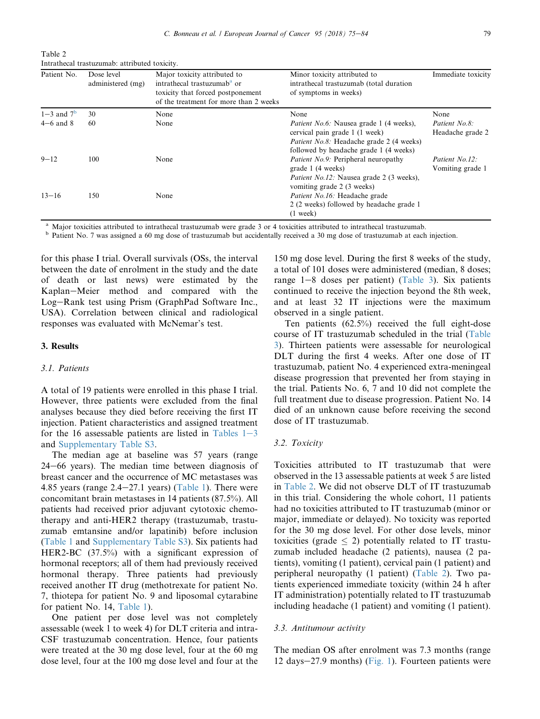Table 2 Intrathecal trastuzumab: attributed toxicity.

| Patient No.    | Dose level<br>administered (mg) | Major toxicity attributed to<br>intrathecal trastuzumab <sup>a</sup> or<br>toxicity that forced postponement<br>of the treatment for more than 2 weeks | Minor toxicity attributed to<br>intrathecal trastuzumab (total duration<br>of symptoms in weeks)                                                                              | Immediate toxicity                 |  |
|----------------|---------------------------------|--------------------------------------------------------------------------------------------------------------------------------------------------------|-------------------------------------------------------------------------------------------------------------------------------------------------------------------------------|------------------------------------|--|
| $1-3$ and $7b$ | 30                              | None                                                                                                                                                   | None                                                                                                                                                                          | None                               |  |
| $4-6$ and $8$  | 60                              | None                                                                                                                                                   | <i>Patient No.6:</i> Nausea grade 1 (4 weeks),<br>cervical pain grade 1 (1 week)<br><i>Patient No.8:</i> Headache grade 2 (4 weeks)<br>followed by headache grade 1 (4 weeks) | Patient No.8:<br>Headache grade 2  |  |
| $9 - 12$       | 100                             | None                                                                                                                                                   | <i>Patient No.9:</i> Peripheral neuropathy<br>grade 1 (4 weeks)<br>Patient No.12: Nausea grade 2 (3 weeks),<br>vomiting grade 2 (3 weeks)                                     | Patient No.12:<br>Vomiting grade 1 |  |
| $13 - 16$      | 150                             | None                                                                                                                                                   | <i>Patient No.16:</i> Headache grade<br>2 (2 weeks) followed by headache grade 1<br>$(1$ week)                                                                                |                                    |  |

<sup>a</sup> Major toxicities attributed to intrathecal trastuzumab were grade 3 or 4 toxicities attributed to intrathecal trastuzumab.<br><sup>b</sup> Patient No. 7 was assigned a 60 mg dose of trastuzumab but accidentally received a 30 mg do

for this phase I trial. Overall survivals (OSs, the interval between the date of enrolment in the study and the date of death or last news) were estimated by the Kaplan-Meier method and compared with the Log-Rank test using Prism (GraphPad Software Inc., USA). Correlation between clinical and radiological responses was evaluated with McNemar's test.

# 3. Results

#### 3.1. Patients

A total of 19 patients were enrolled in this phase I trial. However, three patients were excluded from the final analyses because they died before receiving the first IT injection. Patient characteristics and assigned treatment for the 16 assessable patients are listed in Tables  $1-3$  $1-3$ and Supplementary Table S3.

The median age at baseline was 57 years (range  $24-66$  years). The median time between diagnosis of breast cancer and the occurrence of MC metastases was 4.85 years (range  $2.4-27.1$  years) ([Table 1](#page-3-0)). There were concomitant brain metastases in 14 patients (87.5%). All patients had received prior adjuvant cytotoxic chemotherapy and anti-HER2 therapy (trastuzumab, trastuzumab emtansine and/or lapatinib) before inclusion ([Table 1](#page-3-0) and Supplementary Table S3). Six patients had HER2-BC (37.5%) with a significant expression of hormonal receptors; all of them had previously received hormonal therapy. Three patients had previously received another IT drug (methotrexate for patient No. 7, thiotepa for patient No. 9 and liposomal cytarabine for patient No. 14, [Table 1\)](#page-3-0).

One patient per dose level was not completely assessable (week 1 to week 4) for DLT criteria and intra-CSF trastuzumab concentration. Hence, four patients were treated at the 30 mg dose level, four at the 60 mg dose level, four at the 100 mg dose level and four at the 150 mg dose level. During the first 8 weeks of the study, a total of 101 doses were administered (median, 8 doses; range  $1-8$  doses per patient) [\(Table 3\)](#page-5-0). Six patients continued to receive the injection beyond the 8th week, and at least 32 IT injections were the maximum observed in a single patient.

Ten patients (62.5%) received the full eight-dose course of IT trastuzumab scheduled in the trial [\(Table](#page-5-0) [3](#page-5-0)). Thirteen patients were assessable for neurological DLT during the first 4 weeks. After one dose of IT trastuzumab, patient No. 4 experienced extra-meningeal disease progression that prevented her from staying in the trial. Patients No. 6, 7 and 10 did not complete the full treatment due to disease progression. Patient No. 14 died of an unknown cause before receiving the second dose of IT trastuzumab.

#### 3.2. Toxicity

Toxicities attributed to IT trastuzumab that were observed in the 13 assessable patients at week 5 are listed in Table 2. We did not observe DLT of IT trastuzumab in this trial. Considering the whole cohort, 11 patients had no toxicities attributed to IT trastuzumab (minor or major, immediate or delayed). No toxicity was reported for the 30 mg dose level. For other dose levels, minor toxicities (grade  $\leq$  2) potentially related to IT trastuzumab included headache (2 patients), nausea (2 patients), vomiting (1 patient), cervical pain (1 patient) and peripheral neuropathy (1 patient) (Table 2). Two patients experienced immediate toxicity (within 24 h after IT administration) potentially related to IT trastuzumab including headache (1 patient) and vomiting (1 patient).

# 3.3. Antitumour activity

The median OS after enrolment was 7.3 months (range 12 days $-27.9$  months) [\(Fig. 1](#page-5-0)). Fourteen patients were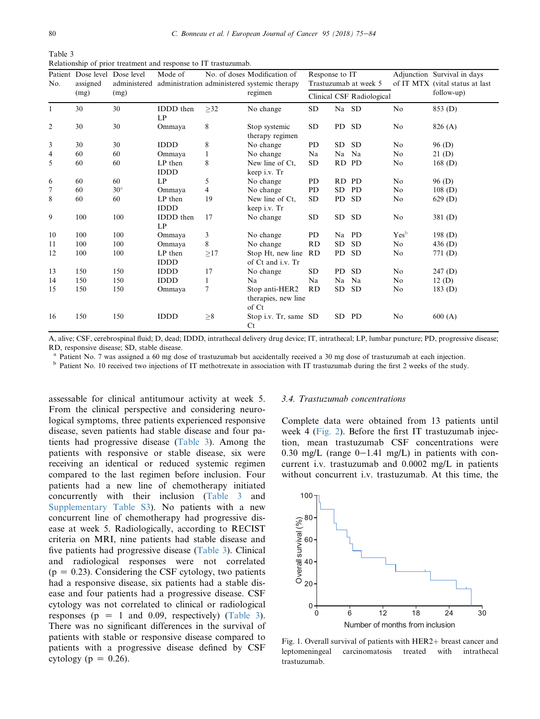<span id="page-5-0"></span>

| Table 3                                                         |  |  |
|-----------------------------------------------------------------|--|--|
| Relationship of prior treatment and response to IT trastuzumab. |  |  |

| No.            | Patient Dose level<br>assigned<br>(mg) | Dose level<br>administered<br>(mg) | Mode of                |           | No. of doses Modification of<br>administration administered systemic therapy<br>regimen | Response to IT<br>Trastuzumab at week 5<br>Clinical CSF Radiological |           |           |                  | Adjunction Survival in days<br>of IT MTX (vital status at last<br>follow-up) |
|----------------|----------------------------------------|------------------------------------|------------------------|-----------|-----------------------------------------------------------------------------------------|----------------------------------------------------------------------|-----------|-----------|------------------|------------------------------------------------------------------------------|
|                |                                        |                                    |                        |           |                                                                                         |                                                                      |           |           |                  |                                                                              |
|                |                                        |                                    |                        |           |                                                                                         |                                                                      |           |           |                  |                                                                              |
| $\mathbf{1}$   | 30                                     | 30                                 | IDDD then<br>LP        | $\geq$ 32 | No change                                                                               | <b>SD</b>                                                            | Na SD     |           | No               | 853 (D)                                                                      |
| $\overline{2}$ | 30                                     | 30                                 | Ommaya                 | 8         | Stop systemic<br>therapy regimen                                                        | SD                                                                   | PD        | <b>SD</b> | No               | 826 (A)                                                                      |
| 3              | 30                                     | 30                                 | <b>IDDD</b>            | 8         | No change                                                                               | <b>PD</b>                                                            | <b>SD</b> | <b>SD</b> | N <sub>0</sub>   | 96 (D)                                                                       |
| 4              | 60                                     | 60                                 | Ommaya                 | 1         | No change                                                                               | Na                                                                   | Na        | Na        | No               | 21(D)                                                                        |
| 5              | 60                                     | 60                                 | LP then<br><b>IDDD</b> | 8         | New line of Ct.<br>keep i.v. Tr                                                         | SD                                                                   | <b>RD</b> | <b>PD</b> | No               | 168(D)                                                                       |
| 6              | 60                                     | 60                                 | LP                     | 5         | No change                                                                               | PD                                                                   | RD        | <b>PD</b> | No               | 96 (D)                                                                       |
| 7              | 60                                     | 30 <sup>a</sup>                    | Ommaya                 | 4         | No change                                                                               | PD                                                                   | SD.       | PD        | No               | 108(D)                                                                       |
| 8              | 60                                     | 60                                 | LP then<br><b>IDDD</b> | 19        | New line of Ct.<br>keep i.v. Tr                                                         | <b>SD</b>                                                            | PD        | <b>SD</b> | No               | 629(D)                                                                       |
| 9              | 100                                    | 100                                | <b>IDDD</b> then<br>LP | 17        | No change                                                                               | SD                                                                   | <b>SD</b> | <b>SD</b> | No               | 381(D)                                                                       |
| 10             | 100                                    | 100                                | Ommaya                 | 3         | No change                                                                               | P <sub>D</sub>                                                       | Na        | <b>PD</b> | Yes <sup>b</sup> | 198 $(D)$                                                                    |
| 11             | 100                                    | 100                                | Ommaya                 | 8         | No change                                                                               | RD                                                                   | SD.       | <b>SD</b> | No               | 436 $(D)$                                                                    |
| 12             | 100                                    | 100                                | LP then<br><b>IDDD</b> | >17       | Stop Ht, new line<br>of Ct and i.v. Tr                                                  | <b>RD</b>                                                            | <b>PD</b> | <b>SD</b> | No               | 771 (D)                                                                      |
| 13             | 150                                    | 150                                | <b>IDDD</b>            | 17        | No change                                                                               | <b>SD</b>                                                            | PD        | <b>SD</b> | No               | 247(D)                                                                       |
| 14             | 150                                    | 150                                | <b>IDDD</b>            | 1         | N <sub>a</sub>                                                                          | Na                                                                   | Na        | Na        | No               | 12(D)                                                                        |
| 15             | 150                                    | 150                                | Ommaya                 | 7         | Stop anti-HER2<br>therapies, new line<br>of Ct                                          | RD                                                                   | <b>SD</b> | <b>SD</b> | No               | 183(D)                                                                       |
| 16             | 150                                    | 150                                | <b>IDDD</b>            | $\geq 8$  | Stop i.v. Tr, same SD<br>Ct                                                             |                                                                      | SD.       | PD        | N <sub>0</sub>   | 600(A)                                                                       |

A, alive; CSF, cerebrospinal fluid; D, dead; IDDD, intrathecal delivery drug device; IT, intrathecal; LP, lumbar puncture; PD, progressive disease; RD, responsive disease; SD, stable disease.

<sup>a</sup> Patient No. 7 was assigned a 60 mg dose of trastuzumab but accidentally received a 30 mg dose of trastuzumab at each injection.<br><sup>b</sup> Patient No. 10 received two injections of IT methotrexate in association with IT trast

assessable for clinical antitumour activity at week 5. From the clinical perspective and considering neurological symptoms, three patients experienced responsive disease, seven patients had stable disease and four patients had progressive disease (Table 3). Among the patients with responsive or stable disease, six were receiving an identical or reduced systemic regimen compared to the last regimen before inclusion. Four patients had a new line of chemotherapy initiated concurrently with their inclusion (Table 3 and Supplementary Table S3). No patients with a new concurrent line of chemotherapy had progressive disease at week 5. Radiologically, according to RECIST criteria on MRI, nine patients had stable disease and five patients had progressive disease (Table 3). Clinical and radiological responses were not correlated  $(p = 0.23)$ . Considering the CSF cytology, two patients had a responsive disease, six patients had a stable disease and four patients had a progressive disease. CSF cytology was not correlated to clinical or radiological responses ( $p = 1$  and 0.09, respectively) (Table 3). There was no significant differences in the survival of patients with stable or responsive disease compared to patients with a progressive disease defined by CSF cytology ( $p = 0.26$ ).

#### 3.4. Trastuzumab concentrations

Complete data were obtained from 13 patients until week 4 ([Fig. 2\)](#page-6-0). Before the first IT trastuzumab injection, mean trastuzumab CSF concentrations were 0.30 mg/L (range  $0-1.41$  mg/L) in patients with concurrent i.v. trastuzumab and 0.0002 mg/L in patients without concurrent i.v. trastuzumab. At this time, the



Fig. 1. Overall survival of patients with HER2+ breast cancer and leptomeningeal carcinomatosis treated with intrathecal carcinomatosis treated with trastuzumab.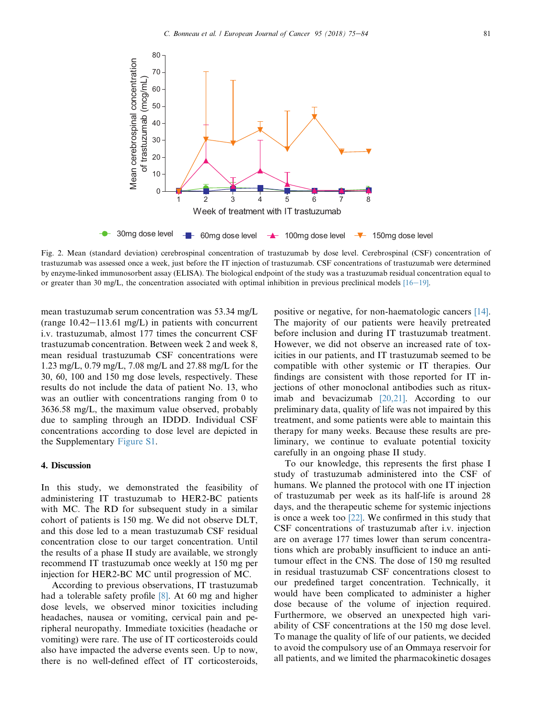<span id="page-6-0"></span>

Fig. 2. Mean (standard deviation) cerebrospinal concentration of trastuzumab by dose level. Cerebrospinal (CSF) concentration of trastuzumab was assessed once a week, just before the IT injection of trastuzumab. CSF concentrations of trastuzumab were determined by enzyme-linked immunosorbent assay (ELISA). The biological endpoint of the study was a trastuzumab residual concentration equal to or greater than 30 mg/L, the concentration associated with optimal inhibition in previous preclinical models  $[16-19]$  $[16-19]$ .

mean trastuzumab serum concentration was 53.34 mg/L (range  $10.42-113.61$  mg/L) in patients with concurrent i.v. trastuzumab, almost 177 times the concurrent CSF trastuzumab concentration. Between week 2 and week 8, mean residual trastuzumab CSF concentrations were 1.23 mg/L, 0.79 mg/L, 7.08 mg/L and 27.88 mg/L for the 30, 60, 100 and 150 mg dose levels, respectively. These results do not include the data of patient No. 13, who was an outlier with concentrations ranging from 0 to 3636.58 mg/L, the maximum value observed, probably due to sampling through an IDDD. Individual CSF concentrations according to dose level are depicted in the Supplementary Figure S1.

# 4. Discussion

In this study, we demonstrated the feasibility of administering IT trastuzumab to HER2-BC patients with MC. The RD for subsequent study in a similar cohort of patients is 150 mg. We did not observe DLT, and this dose led to a mean trastuzumab CSF residual concentration close to our target concentration. Until the results of a phase II study are available, we strongly recommend IT trastuzumab once weekly at 150 mg per injection for HER2-BC MC until progression of MC.

According to previous observations, IT trastuzumab had a tolerable safety profile [\[8\]](#page-8-0). At 60 mg and higher dose levels, we observed minor toxicities including headaches, nausea or vomiting, cervical pain and peripheral neuropathy. Immediate toxicities (headache or vomiting) were rare. The use of IT corticosteroids could also have impacted the adverse events seen. Up to now, there is no well-defined effect of IT corticosteroids, positive or negative, for non-haematologic cancers [\[14\].](#page-8-0) The majority of our patients were heavily pretreated before inclusion and during IT trastuzumab treatment. However, we did not observe an increased rate of toxicities in our patients, and IT trastuzumab seemed to be compatible with other systemic or IT therapies. Our findings are consistent with those reported for IT injections of other monoclonal antibodies such as rituximab and bevacizumab [\[20,21\]](#page-8-0). According to our preliminary data, quality of life was not impaired by this treatment, and some patients were able to maintain this therapy for many weeks. Because these results are preliminary, we continue to evaluate potential toxicity carefully in an ongoing phase II study.

To our knowledge, this represents the first phase I study of trastuzumab administered into the CSF of humans. We planned the protocol with one IT injection of trastuzumab per week as its half-life is around 28 days, and the therapeutic scheme for systemic injections is once a week too  $[22]$ . We confirmed in this study that CSF concentrations of trastuzumab after i.v. injection are on average 177 times lower than serum concentrations which are probably insufficient to induce an antitumour effect in the CNS. The dose of 150 mg resulted in residual trastuzumab CSF concentrations closest to our predefined target concentration. Technically, it would have been complicated to administer a higher dose because of the volume of injection required. Furthermore, we observed an unexpected high variability of CSF concentrations at the 150 mg dose level. To manage the quality of life of our patients, we decided to avoid the compulsory use of an Ommaya reservoir for all patients, and we limited the pharmacokinetic dosages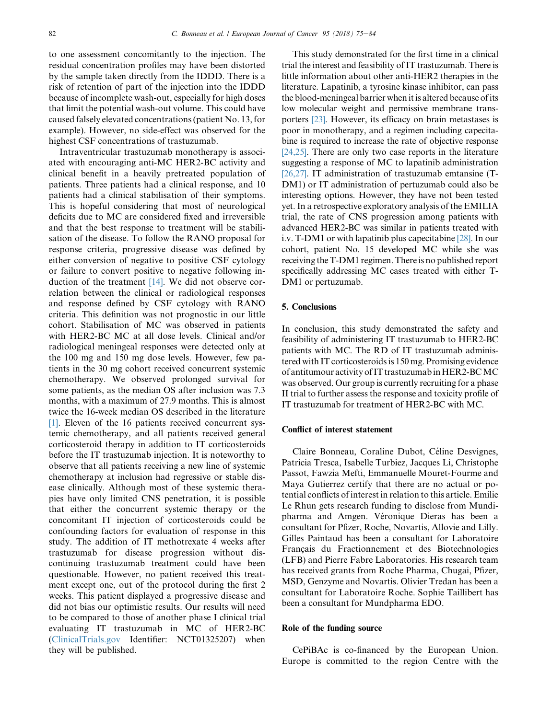to one assessment concomitantly to the injection. The residual concentration profiles may have been distorted by the sample taken directly from the IDDD. There is a risk of retention of part of the injection into the IDDD because of incomplete wash-out, especially for high doses that limit the potential wash-out volume. This could have caused falsely elevated concentrations (patient No. 13, for example). However, no side-effect was observed for the highest CSF concentrations of trastuzumab.

Intraventricular trastuzumab monotherapy is associated with encouraging anti-MC HER2-BC activity and clinical benefit in a heavily pretreated population of patients. Three patients had a clinical response, and 10 patients had a clinical stabilisation of their symptoms. This is hopeful considering that most of neurological deficits due to MC are considered fixed and irreversible and that the best response to treatment will be stabilisation of the disease. To follow the RANO proposal for response criteria, progressive disease was defined by either conversion of negative to positive CSF cytology or failure to convert positive to negative following induction of the treatment [\[14\].](#page-8-0) We did not observe correlation between the clinical or radiological responses and response defined by CSF cytology with RANO criteria. This definition was not prognostic in our little cohort. Stabilisation of MC was observed in patients with HER2-BC MC at all dose levels. Clinical and/or radiological meningeal responses were detected only at the 100 mg and 150 mg dose levels. However, few patients in the 30 mg cohort received concurrent systemic chemotherapy. We observed prolonged survival for some patients, as the median OS after inclusion was 7.3 months, with a maximum of 27.9 months. This is almost twice the 16-week median OS described in the literature [\[1\]](#page-8-0). Eleven of the 16 patients received concurrent systemic chemotherapy, and all patients received general corticosteroid therapy in addition to IT corticosteroids before the IT trastuzumab injection. It is noteworthy to observe that all patients receiving a new line of systemic chemotherapy at inclusion had regressive or stable disease clinically. Although most of these systemic therapies have only limited CNS penetration, it is possible that either the concurrent systemic therapy or the concomitant IT injection of corticosteroids could be confounding factors for evaluation of response in this study. The addition of IT methotrexate 4 weeks after trastuzumab for disease progression without discontinuing trastuzumab treatment could have been questionable. However, no patient received this treatment except one, out of the protocol during the first 2 weeks. This patient displayed a progressive disease and did not bias our optimistic results. Our results will need to be compared to those of another phase I clinical trial evaluating IT trastuzumab in MC of HER2-BC [\(ClinicalTrials.gov](http://ClinicalTrials.gov) Identifier: NCT01325207) when they will be published.

This study demonstrated for the first time in a clinical trial the interest and feasibility of IT trastuzumab. There is little information about other anti-HER2 therapies in the literature. Lapatinib, a tyrosine kinase inhibitor, can pass the blood-meningeal barrier when it is altered because of its low molecular weight and permissive membrane transporters [\[23\].](#page-8-0) However, its efficacy on brain metastases is poor in monotherapy, and a regimen including capecitabine is required to increase the rate of objective response [\[24,25\]](#page-8-0). There are only two case reports in the literature suggesting a response of MC to lapatinib administration [\[26,27\]](#page-9-0). IT administration of trastuzumab emtansine (T-DM1) or IT administration of pertuzumab could also be interesting options. However, they have not been tested yet. In a retrospective exploratory analysis of the EMILIA trial, the rate of CNS progression among patients with advanced HER2-BC was similar in patients treated with i.v. T-DM1 or with lapatinib plus capecitabine [\[28\]](#page-9-0). In our cohort, patient No. 15 developed MC while she was receiving the T-DM1 regimen. There is no published report specifically addressing MC cases treated with either T-DM1 or pertuzumab.

# 5. Conclusions

In conclusion, this study demonstrated the safety and feasibility of administering IT trastuzumab to HER2-BC patients with MC. The RD of IT trastuzumab administered with IT corticosteroids is 150 mg. Promising evidence of antitumour activity of IT trastuzumab inHER2-BCMC was observed. Our group is currently recruiting for a phase II trial to further assess the response and toxicity profile of IT trastuzumab for treatment of HER2-BC with MC.

# Conflict of interest statement

Claire Bonneau, Coraline Dubot, Céline Desvignes, Patricia Tresca, Isabelle Turbiez, Jacques Li, Christophe Passot, Fawzia Mefti, Emmanuelle Mouret-Fourme and Maya Gutierrez certify that there are no actual or potential conflicts of interest in relation to this article. Emilie Le Rhun gets research funding to disclose from Mundipharma and Amgen. Véronique Dieras has been a consultant for Pfizer, Roche, Novartis, Allovie and Lilly. Gilles Paintaud has been a consultant for Laboratoire Français du Fractionnement et des Biotechnologies (LFB) and Pierre Fabre Laboratories. His research team has received grants from Roche Pharma, Chugai, Pfizer, MSD, Genzyme and Novartis. Olivier Tredan has been a consultant for Laboratoire Roche. Sophie Taillibert has been a consultant for Mundpharma EDO.

# Role of the funding source

CePiBAc is co-financed by the European Union. Europe is committed to the region Centre with the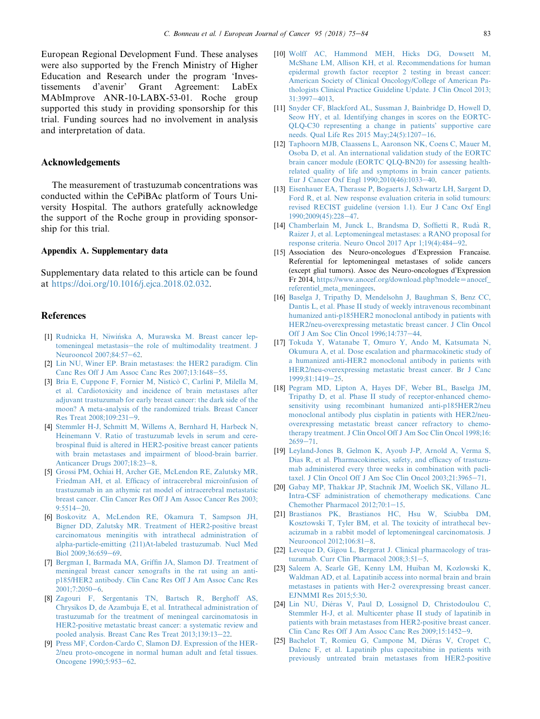<span id="page-8-0"></span>European Regional Development Fund. These analyses were also supported by the French Ministry of Higher Education and Research under the program 'Investissements d'avenir' Grant Agreement: LabEx MAbImprove ANR-10-LABX-53-01. Roche group supported this study in providing sponsorship for this trial. Funding sources had no involvement in analysis and interpretation of data.

# Acknowledgements

The measurement of trastuzumab concentrations was conducted within the CePiBAc platform of Tours University Hospital. The authors gratefully acknowledge the support of the Roche group in providing sponsorship for this trial.

# Appendix A. Supplementary data

Supplementary data related to this article can be found at [https://doi.org/10.1016/j.ejca.2018.02.032.](https://doi.org/10.1016/j.ejca.2018.02.032)

# References

- [1] Rudnicka H, Niwińska A, Murawska M. Breast cancer lep[tomeningeal metastasis](http://refhub.elsevier.com/S0959-8049(18)30714-7/sref1)-[the role of multimodality treatment. J](http://refhub.elsevier.com/S0959-8049(18)30714-7/sref1) [Neurooncol 2007;84:57](http://refhub.elsevier.com/S0959-8049(18)30714-7/sref1)-[62.](http://refhub.elsevier.com/S0959-8049(18)30714-7/sref1)
- [2] [Lin NU, Winer EP. Brain metastases: the HER2 paradigm. Clin](http://refhub.elsevier.com/S0959-8049(18)30714-7/sref2) [Canc Res Off J Am Assoc Canc Res 2007;13:1648](http://refhub.elsevier.com/S0959-8049(18)30714-7/sref2)-[55.](http://refhub.elsevier.com/S0959-8049(18)30714-7/sref2)
- [3] Bria E, Cuppone F, Fornier M, Nisticò C, Carlini P, Milella M, [et al. Cardiotoxicity and incidence of brain metastases after](http://refhub.elsevier.com/S0959-8049(18)30714-7/sref3) [adjuvant trastuzumab for early breast cancer: the dark side of the](http://refhub.elsevier.com/S0959-8049(18)30714-7/sref3) [moon? A meta-analysis of the randomized trials. Breast Cancer](http://refhub.elsevier.com/S0959-8049(18)30714-7/sref3) Res Treat  $2008;109:231-9$ .
- [4] [Stemmler H-J, Schmitt M, Willems A, Bernhard H, Harbeck N,](http://refhub.elsevier.com/S0959-8049(18)30714-7/sref4) [Heinemann V. Ratio of trastuzumab levels in serum and cere](http://refhub.elsevier.com/S0959-8049(18)30714-7/sref4)[brospinal fluid is altered in HER2-positive breast cancer patients](http://refhub.elsevier.com/S0959-8049(18)30714-7/sref4) [with brain metastases and impairment of blood-brain barrier.](http://refhub.elsevier.com/S0959-8049(18)30714-7/sref4) [Anticancer Drugs 2007;18:23](http://refhub.elsevier.com/S0959-8049(18)30714-7/sref4)-[8](http://refhub.elsevier.com/S0959-8049(18)30714-7/sref4).
- [5] [Grossi PM, Ochiai H, Archer GE, McLendon RE, Zalutsky MR,](http://refhub.elsevier.com/S0959-8049(18)30714-7/sref5) [Friedman AH, et al. Efficacy of intracerebral microinfusion of](http://refhub.elsevier.com/S0959-8049(18)30714-7/sref5) [trastuzumab in an athymic rat model of intracerebral metastatic](http://refhub.elsevier.com/S0959-8049(18)30714-7/sref5) [breast cancer. Clin Cancer Res Off J Am Assoc Cancer Res 2003;](http://refhub.elsevier.com/S0959-8049(18)30714-7/sref5)  $9.5514 - 20$
- [6] [Boskovitz A, McLendon RE, Okamura T, Sampson JH,](http://refhub.elsevier.com/S0959-8049(18)30714-7/sref6) [Bigner DD, Zalutsky MR. Treatment of HER2-positive breast](http://refhub.elsevier.com/S0959-8049(18)30714-7/sref6) [carcinomatous meningitis with intrathecal administration of](http://refhub.elsevier.com/S0959-8049(18)30714-7/sref6) [alpha-particle-emitting \(211\)At-labeled trastuzumab. Nucl Med](http://refhub.elsevier.com/S0959-8049(18)30714-7/sref6) [Biol 2009;36:659](http://refhub.elsevier.com/S0959-8049(18)30714-7/sref6)-[69](http://refhub.elsevier.com/S0959-8049(18)30714-7/sref6).
- [7] [Bergman I, Barmada MA, Griffin JA, Slamon DJ. Treatment of](http://refhub.elsevier.com/S0959-8049(18)30714-7/sref7) [meningeal breast cancer xenografts in the rat using an anti](http://refhub.elsevier.com/S0959-8049(18)30714-7/sref7)[p185/HER2 antibody. Clin Canc Res Off J Am Assoc Canc Res](http://refhub.elsevier.com/S0959-8049(18)30714-7/sref7) [2001;7:2050](http://refhub.elsevier.com/S0959-8049(18)30714-7/sref7)-[6.](http://refhub.elsevier.com/S0959-8049(18)30714-7/sref7)
- [8] [Zagouri F, Sergentanis TN, Bartsch R, Berghoff AS,](http://refhub.elsevier.com/S0959-8049(18)30714-7/sref8) [Chrysikos D, de Azambuja E, et al. Intrathecal administration of](http://refhub.elsevier.com/S0959-8049(18)30714-7/sref8) [trastuzumab for the treatment of meningeal carcinomatosis in](http://refhub.elsevier.com/S0959-8049(18)30714-7/sref8) [HER2-positive metastatic breast cancer: a systematic review and](http://refhub.elsevier.com/S0959-8049(18)30714-7/sref8) [pooled analysis. Breast Canc Res Treat 2013;139:13](http://refhub.elsevier.com/S0959-8049(18)30714-7/sref8)-[22.](http://refhub.elsevier.com/S0959-8049(18)30714-7/sref8)
- [9] [Press MF, Cordon-Cardo C, Slamon DJ. Expression of the HER-](http://refhub.elsevier.com/S0959-8049(18)30714-7/sref9)[2/neu proto-oncogene in normal human adult and fetal tissues.](http://refhub.elsevier.com/S0959-8049(18)30714-7/sref9) [Oncogene 1990;5:953](http://refhub.elsevier.com/S0959-8049(18)30714-7/sref9)-[62.](http://refhub.elsevier.com/S0959-8049(18)30714-7/sref9)
- [10] [Wolff AC, Hammond MEH, Hicks DG, Dowsett M,](http://refhub.elsevier.com/S0959-8049(18)30714-7/sref10) [McShane LM, Allison KH, et al. Recommendations for human](http://refhub.elsevier.com/S0959-8049(18)30714-7/sref10) [epidermal growth factor receptor 2 testing in breast cancer:](http://refhub.elsevier.com/S0959-8049(18)30714-7/sref10) [American Society of Clinical Oncology/College of American Pa](http://refhub.elsevier.com/S0959-8049(18)30714-7/sref10)[thologists Clinical Practice Guideline Update. J Clin Oncol 2013;](http://refhub.elsevier.com/S0959-8049(18)30714-7/sref10) [31:3997](http://refhub.elsevier.com/S0959-8049(18)30714-7/sref10)-[4013](http://refhub.elsevier.com/S0959-8049(18)30714-7/sref10).
- [11] [Snyder CF, Blackford AL, Sussman J, Bainbridge D, Howell D,](http://refhub.elsevier.com/S0959-8049(18)30714-7/sref11) [Seow HY, et al. Identifying changes in scores on the EORTC-](http://refhub.elsevier.com/S0959-8049(18)30714-7/sref11)[QLQ-C30 representing a change in patients' supportive care](http://refhub.elsevier.com/S0959-8049(18)30714-7/sref11) needs. Qual Life Res  $2015$  May; $24(5)$ : $1207-16$ .
- [12] [Taphoorn MJB, Claassens L, Aaronson NK, Coens C, Mauer M,](http://refhub.elsevier.com/S0959-8049(18)30714-7/sref12) [Osoba D, et al. An international validation study of the EORTC](http://refhub.elsevier.com/S0959-8049(18)30714-7/sref12) [brain cancer module \(EORTC QLQ-BN20\) for assessing health](http://refhub.elsevier.com/S0959-8049(18)30714-7/sref12)[related quality of life and symptoms in brain cancer patients.](http://refhub.elsevier.com/S0959-8049(18)30714-7/sref12) Eur J Cancer Oxf Engl  $1990;2010(46):1033-40$ .
- [13] [Eisenhauer EA, Therasse P, Bogaerts J, Schwartz LH, Sargent D,](http://refhub.elsevier.com/S0959-8049(18)30714-7/sref13) [Ford R, et al. New response evaluation criteria in solid tumours:](http://refhub.elsevier.com/S0959-8049(18)30714-7/sref13) [revised RECIST guideline \(version 1.1\). Eur J Canc Oxf Engl](http://refhub.elsevier.com/S0959-8049(18)30714-7/sref13) [1990;2009\(45\):228](http://refhub.elsevier.com/S0959-8049(18)30714-7/sref13)-[47.](http://refhub.elsevier.com/S0959-8049(18)30714-7/sref13)
- [14] Chamberlain M, Junck L, Brandsma D, Soffietti R, Rudà R, [Raizer J, et al. Leptomeningeal metastases: a RANO proposal for](http://refhub.elsevier.com/S0959-8049(18)30714-7/sref14) [response criteria. Neuro Oncol 2017 Apr 1;19\(4\):484](http://refhub.elsevier.com/S0959-8049(18)30714-7/sref14)-[92](http://refhub.elsevier.com/S0959-8049(18)30714-7/sref14).
- [15] Association des Neuro-oncologues d'Expression Francaise. Referential for leptomeningeal metastases of solide cancers (except glial tumors). Assoc des Neuro-oncologues d'Expression Fr 2014, [https://www.anocef.org/download.php?modele](https://www.anocef.org/download.php?modele=anocef_referentiel_meta_meningees)=anocef\_ [referentiel\\_meta\\_meningees](https://www.anocef.org/download.php?modele=anocef_referentiel_meta_meningees).
- [16] [Baselga J, Tripathy D, Mendelsohn J, Baughman S, Benz CC,](http://refhub.elsevier.com/S0959-8049(18)30714-7/sref16) [Dantis L, et al. Phase II study of weekly intravenous recombinant](http://refhub.elsevier.com/S0959-8049(18)30714-7/sref16) [humanized anti-p185HER2 monoclonal antibody in patients with](http://refhub.elsevier.com/S0959-8049(18)30714-7/sref16) [HER2/neu-overexpressing metastatic breast cancer. J Clin Oncol](http://refhub.elsevier.com/S0959-8049(18)30714-7/sref16) Off J Am Soc Clin Oncol 1996:14:737-[44](http://refhub.elsevier.com/S0959-8049(18)30714-7/sref16).
- [17] [Tokuda Y, Watanabe T, Omuro Y, Ando M, Katsumata N,](http://refhub.elsevier.com/S0959-8049(18)30714-7/sref17) [Okumura A, et al. Dose escalation and pharmacokinetic study of](http://refhub.elsevier.com/S0959-8049(18)30714-7/sref17) [a humanized anti-HER2 monoclonal antibody in patients with](http://refhub.elsevier.com/S0959-8049(18)30714-7/sref17) [HER2/neu-overexpressing metastatic breast cancer. Br J Canc](http://refhub.elsevier.com/S0959-8049(18)30714-7/sref17) [1999;81:1419](http://refhub.elsevier.com/S0959-8049(18)30714-7/sref17)-[25.](http://refhub.elsevier.com/S0959-8049(18)30714-7/sref17)
- [18] [Pegram MD, Lipton A, Hayes DF, Weber BL, Baselga JM,](http://refhub.elsevier.com/S0959-8049(18)30714-7/sref18) [Tripathy D, et al. Phase II study of receptor-enhanced chemo](http://refhub.elsevier.com/S0959-8049(18)30714-7/sref18)[sensitivity using recombinant humanized anti-p185HER2/neu](http://refhub.elsevier.com/S0959-8049(18)30714-7/sref18) [monoclonal antibody plus cisplatin in patients with HER2/neu](http://refhub.elsevier.com/S0959-8049(18)30714-7/sref18)[overexpressing metastatic breast cancer refractory to chemo](http://refhub.elsevier.com/S0959-8049(18)30714-7/sref18)[therapy treatment. J Clin Oncol Off J Am Soc Clin Oncol 1998;16:](http://refhub.elsevier.com/S0959-8049(18)30714-7/sref18)  $2659 - 71$  $2659 - 71$  $2659 - 71$ .
- [19] [Leyland-Jones B, Gelmon K, Ayoub J-P, Arnold A, Verma S,](http://refhub.elsevier.com/S0959-8049(18)30714-7/sref19) [Dias R, et al. Pharmacokinetics, safety, and efficacy of trastuzu](http://refhub.elsevier.com/S0959-8049(18)30714-7/sref19)[mab administered every three weeks in combination with pacli](http://refhub.elsevier.com/S0959-8049(18)30714-7/sref19)[taxel. J Clin Oncol Off J Am Soc Clin Oncol 2003;21:3965](http://refhub.elsevier.com/S0959-8049(18)30714-7/sref19)-[71.](http://refhub.elsevier.com/S0959-8049(18)30714-7/sref19)
- [20] [Gabay MP, Thakkar JP, Stachnik JM, Woelich SK, Villano JL.](http://refhub.elsevier.com/S0959-8049(18)30714-7/sref20) [Intra-CSF administration of chemotherapy medications. Canc](http://refhub.elsevier.com/S0959-8049(18)30714-7/sref20) [Chemother Pharmacol 2012;70:1](http://refhub.elsevier.com/S0959-8049(18)30714-7/sref20)-[15.](http://refhub.elsevier.com/S0959-8049(18)30714-7/sref20)
- [21] [Brastianos PK, Brastianos HC, Hsu W, Sciubba DM,](http://refhub.elsevier.com/S0959-8049(18)30714-7/sref21) [Kosztowski T, Tyler BM, et al. The toxicity of intrathecal bev](http://refhub.elsevier.com/S0959-8049(18)30714-7/sref21)[acizumab in a rabbit model of leptomeningeal carcinomatosis. J](http://refhub.elsevier.com/S0959-8049(18)30714-7/sref21) [Neurooncol 2012;106:81](http://refhub.elsevier.com/S0959-8049(18)30714-7/sref21)-[8.](http://refhub.elsevier.com/S0959-8049(18)30714-7/sref21)
- [22] [Leveque D, Gigou L, Bergerat J. Clinical pharmacology of tras](http://refhub.elsevier.com/S0959-8049(18)30714-7/sref22)tuzumab. Curr Clin Pharmacol  $2008;3:51-5$ .
- [23] [Saleem A, Searle GE, Kenny LM, Huiban M, Kozlowski K,](http://refhub.elsevier.com/S0959-8049(18)30714-7/sref23) [Waldman AD, et al. Lapatinib access into normal brain and brain](http://refhub.elsevier.com/S0959-8049(18)30714-7/sref23) [metastases in patients with Her-2 overexpressing breast cancer.](http://refhub.elsevier.com/S0959-8049(18)30714-7/sref23) [EJNMMI Res 2015;5:30.](http://refhub.elsevier.com/S0959-8049(18)30714-7/sref23)
- [24] Lin NU, Diéras V, Paul D, Lossignol D, Christodoulou C, [Stemmler H-J, et al. Multicenter phase II study of lapatinib in](http://refhub.elsevier.com/S0959-8049(18)30714-7/sref24) [patients with brain metastases from HER2-positive breast cancer.](http://refhub.elsevier.com/S0959-8049(18)30714-7/sref24) [Clin Canc Res Off J Am Assoc Canc Res 2009;15:1452](http://refhub.elsevier.com/S0959-8049(18)30714-7/sref24)-[9](http://refhub.elsevier.com/S0959-8049(18)30714-7/sref24).
- [25] Bachelot T, Romieu G, Campone M, Diéras V, Cropet C, [Dalenc F, et al. Lapatinib plus capecitabine in patients with](http://refhub.elsevier.com/S0959-8049(18)30714-7/sref25) [previously untreated brain metastases from HER2-positive](http://refhub.elsevier.com/S0959-8049(18)30714-7/sref25)